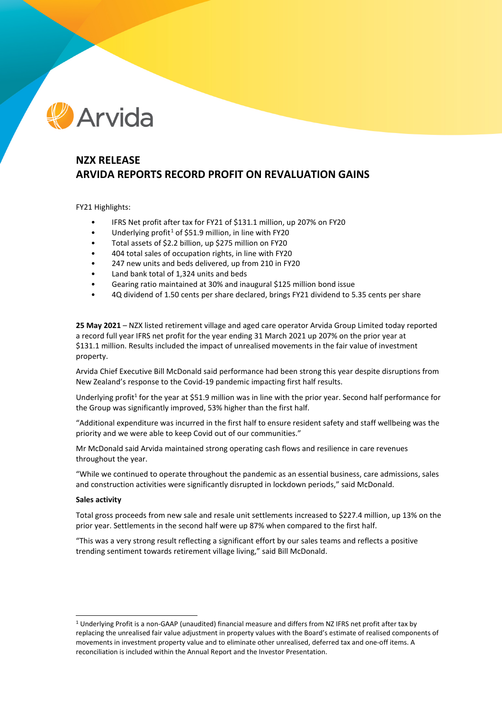# Arvida

# **NZX RELEASE ARVIDA REPORTS RECORD PROFIT ON REVALUATION GAINS**

FY21 Highlights:

- IFRS Net profit after tax for FY21 of \$131.1 million, up 207% on FY20
- Underlying profit<sup>[1](#page-0-0)</sup> of \$51.9 million, in line with FY20
- Total assets of \$2.2 billion, up \$275 million on FY20
- 404 total sales of occupation rights, in line with FY20
- 247 new units and beds delivered, up from 210 in FY20
- Land bank total of 1,324 units and beds
- Gearing ratio maintained at 30% and inaugural \$125 million bond issue
- 4Q dividend of 1.50 cents per share declared, brings FY21 dividend to 5.35 cents per share

**25 May 2021** – NZX listed retirement village and aged care operator Arvida Group Limited today reported a record full year IFRS net profit for the year ending 31 March 2021 up 207% on the prior year at \$131.1 million. Results included the impact of unrealised movements in the fair value of investment property.

Arvida Chief Executive Bill McDonald said performance had been strong this year despite disruptions from New Zealand's response to the Covid-19 pandemic impacting first half results.

Underlying profit<sup>1</sup> for the year at \$51.9 million was in line with the prior year. Second half performance for the Group was significantly improved, 53% higher than the first half.

"Additional expenditure was incurred in the first half to ensure resident safety and staff wellbeing was the priority and we were able to keep Covid out of our communities."

Mr McDonald said Arvida maintained strong operating cash flows and resilience in care revenues throughout the year.

"While we continued to operate throughout the pandemic as an essential business, care admissions, sales and construction activities were significantly disrupted in lockdown periods," said McDonald.

#### **Sales activity**

Total gross proceeds from new sale and resale unit settlements increased to \$227.4 million, up 13% on the prior year. Settlements in the second half were up 87% when compared to the first half.

"This was a very strong result reflecting a significant effort by our sales teams and reflects a positive trending sentiment towards retirement village living," said Bill McDonald.

<span id="page-0-0"></span><sup>1</sup> Underlying Profit is a non-GAAP (unaudited) financial measure and differs from NZ IFRS net profit after tax by replacing the unrealised fair value adjustment in property values with the Board's estimate of realised components of movements in investment property value and to eliminate other unrealised, deferred tax and one-off items. A reconciliation is included within the Annual Report and the Investor Presentation.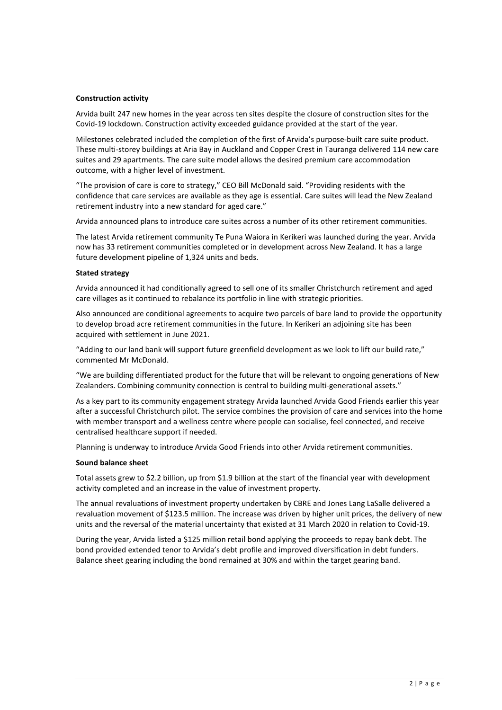# **Construction activity**

Arvida built 247 new homes in the year across ten sites despite the closure of construction sites for the Covid-19 lockdown. Construction activity exceeded guidance provided at the start of the year.

Milestones celebrated included the completion of the first of Arvida's purpose-built care suite product. These multi-storey buildings at Aria Bay in Auckland and Copper Crest in Tauranga delivered 114 new care suites and 29 apartments. The care suite model allows the desired premium care accommodation outcome, with a higher level of investment.

"The provision of care is core to strategy," CEO Bill McDonald said. "Providing residents with the confidence that care services are available as they age is essential. Care suites will lead the New Zealand retirement industry into a new standard for aged care."

Arvida announced plans to introduce care suites across a number of its other retirement communities.

The latest Arvida retirement community Te Puna Waiora in Kerikeri was launched during the year. Arvida now has 33 retirement communities completed or in development across New Zealand. It has a large future development pipeline of 1,324 units and beds.

# **Stated strategy**

Arvida announced it had conditionally agreed to sell one of its smaller Christchurch retirement and aged care villages as it continued to rebalance its portfolio in line with strategic priorities.

Also announced are conditional agreements to acquire two parcels of bare land to provide the opportunity to develop broad acre retirement communities in the future. In Kerikeri an adjoining site has been acquired with settlement in June 2021.

"Adding to our land bank will support future greenfield development as we look to lift our build rate," commented Mr McDonald.

"We are building differentiated product for the future that will be relevant to ongoing generations of New Zealanders. Combining community connection is central to building multi-generational assets."

As a key part to its community engagement strategy Arvida launched Arvida Good Friends earlier this year after a successful Christchurch pilot. The service combines the provision of care and services into the home with member transport and a wellness centre where people can socialise, feel connected, and receive centralised healthcare support if needed.

Planning is underway to introduce Arvida Good Friends into other Arvida retirement communities.

#### **Sound balance sheet**

Total assets grew to \$2.2 billion, up from \$1.9 billion at the start of the financial year with development activity completed and an increase in the value of investment property.

The annual revaluations of investment property undertaken by CBRE and Jones Lang LaSalle delivered a revaluation movement of \$123.5 million. The increase was driven by higher unit prices, the delivery of new units and the reversal of the material uncertainty that existed at 31 March 2020 in relation to Covid-19.

During the year, Arvida listed a \$125 million retail bond applying the proceeds to repay bank debt. The bond provided extended tenor to Arvida's debt profile and improved diversification in debt funders. Balance sheet gearing including the bond remained at 30% and within the target gearing band.